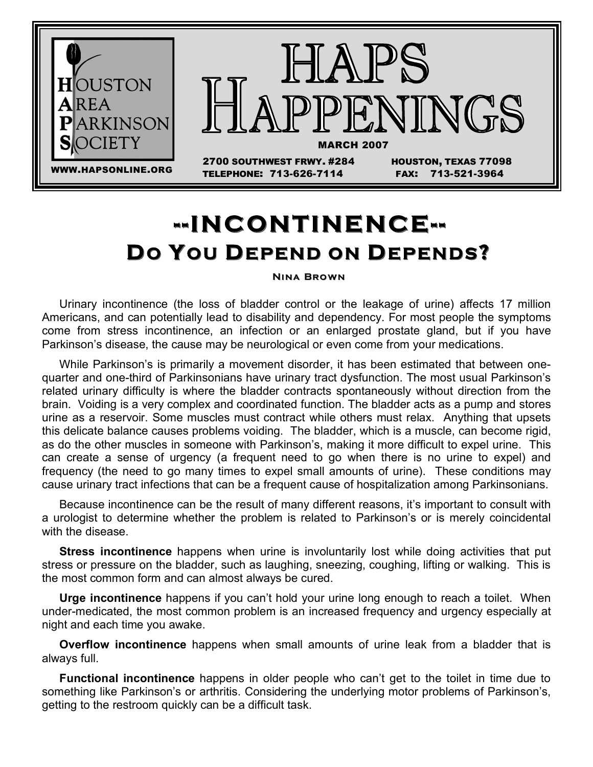

# **DO YOU DEPEND ON DEPENDS? - -INCONTINENCE- -**

### **NINA BROWN**

Urinary incontinence (the loss of bladder control or the leakage of urine) affects 17 million Americans, and can potentially lead to disability and dependency. For most people the symptoms come from stress incontinence, an infection or an enlarged prostate gland, but if you have Parkinson's disease, the cause may be neurological or even come from your medications.

While Parkinson's is primarily a movement disorder, it has been estimated that between onequarter and one-third of Parkinsonians have urinary tract dysfunction. The most usual Parkinson's related urinary difficulty is where the bladder contracts spontaneously without direction from the brain. Voiding is a very complex and coordinated function. The bladder acts as a pump and stores urine as a reservoir. Some muscles must contract while others must relax. Anything that upsets this delicate balance causes problems voiding. The bladder, which is a muscle, can become rigid, as do the other muscles in someone with Parkinson's, making it more difficult to expel urine. This can create a sense of urgency (a frequent need to go when there is no urine to expel) and frequency (the need to go many times to expel small amounts of urine). These conditions may cause urinary tract infections that can be a frequent cause of hospitalization among Parkinsonians.

Because incontinence can be the result of many different reasons, it's important to consult with a urologist to determine whether the problem is related to Parkinson's or is merely coincidental with the disease.

**Stress incontinence** happens when urine is involuntarily lost while doing activities that put stress or pressure on the bladder, such as laughing, sneezing, coughing, lifting or walking. This is the most common form and can almost always be cured.

**Urge incontinence** happens if you can't hold your urine long enough to reach a toilet. When under-medicated, the most common problem is an increased frequency and urgency especially at night and each time you awake.

**Overflow incontinence** happens when small amounts of urine leak from a bladder that is always full.

**Functional incontinence** happens in older people who can't get to the toilet in time due to something like Parkinson's or arthritis. Considering the underlying motor problems of Parkinson's, getting to the restroom quickly can be a difficult task.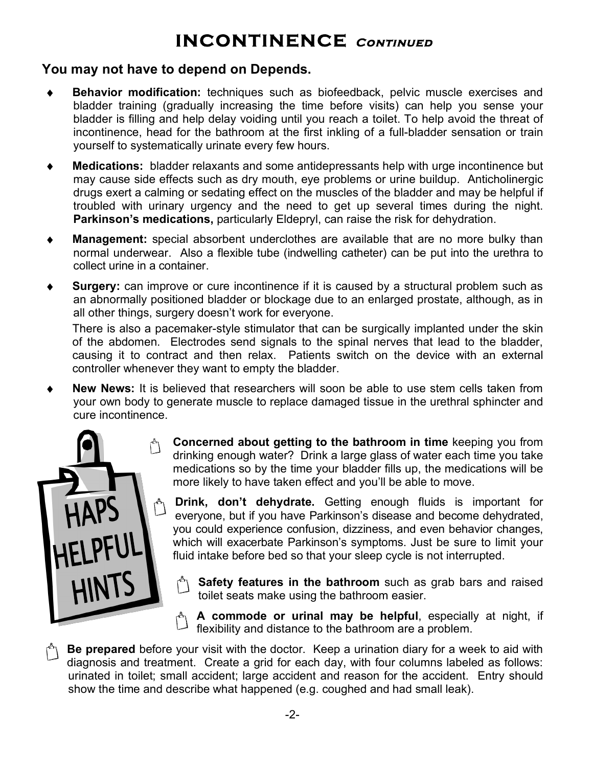### **INCONTINENCE Continued-**

### **You** may not have to depend on Depends.

- ♦ **Behavior modification:** techniques such as biofeedback, pelvic muscle exercises and bladder training (gradually increasing the time before visits) can help you sense your bladder is filling and help delay voiding until you reach a toilet. To help avoid the threat of incontinence, head for the bathroom at the first inkling of a full-bladder sensation or train yourself to systematically urinate every few hours.
- **Medications:** bladder relaxants and some antidepressants help with urge incontinence but may cause side effects such as dry mouth, eye problems or urine buildup. Anticholinergic drugs exert a calming or sedating effect on the muscles of the bladder and may be helpful if troubled with urinary urgency and the need to get up several times during the night. **Parkinson's medications,** particularly Eldepryl, can raise the risk for dehydration.
- **Management:** special absorbent underclothes are available that are no more bulky than normal underwear. Also a flexible tube (indwelling catheter) can be put into the urethra to collect urine in a container.
- **Surgery:** can improve or cure incontinence if it is caused by a structural problem such as an abnormally positioned bladder or blockage due to an enlarged prostate, although, as in all other things, surgery doesn't work for everyone.

There is also a pacemaker-style stimulator that can be surgically implanted under the skin of the abdomen. Electrodes send signals to the spinal nerves that lead to the bladder, causing it to contract and then relax. Patients switch on the device with an external controller whenever they want to empty the bladder.

**New News:** It is believed that researchers will soon be able to use stem cells taken from your own body to generate muscle to replace damaged tissue in the urethral sphincter and cure incontinence.



**Concerned about getting to the bathroom in time** keeping you from drinking enough water? Drink a large glass of water each time you take medications so by the time your bladder fills up, the medications will be more likely to have taken effect and you'll be able to move.

**Drink, don't dehydrate.** Getting enough fluids is important for everyone, but if you have Parkinson's disease and become dehydrated, you could experience confusion, dizziness, and even behavior changes, which will exacerbate Parkinson's symptoms. Just be sure to limit your fluid intake before bed so that your sleep cycle is not interrupted.

- **Safety features in the bathroom** such as grab bars and raised toilet seats make using the bathroom easier.
- **A commode or urinal may be helpful**, especially at night, if flexibility and distance to the bathroom are a problem.

**Be prepared** before your visit with the doctor. Keep a urination diary for a week to aid with diagnosis and treatment. Create a grid for each day, with four columns labeled as follows: urinated in toilet; small accident; large accident and reason for the accident. Entry should show the time and describe what happened (e.g. coughed and had small leak).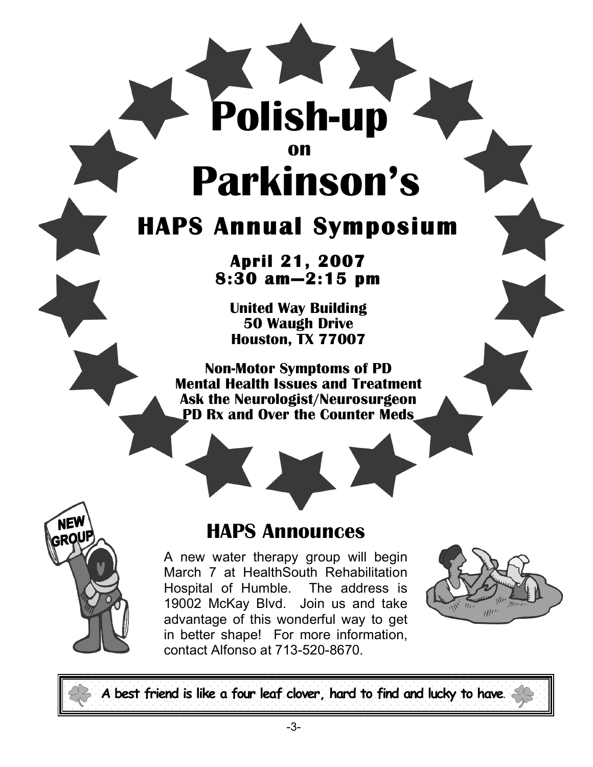# **on Parkinson's**

**Polish-up**

# **HAPS Annual Symposium**

# **April 21, 2007 8:30 am—2:15 pm**

**United Way Building 50 Waugh Drive Houston, TX 77007** 

**Non-Motor Symptoms of PD Mental Health Issues and Treatment Ask the Neurologist/Neurosurgeon PD Rx and Over the Counter Meds**



### **HAPS Announces**

A new water therapy group will begin March 7 at HealthSouth Rehabilitation Hospital of Humble. The address is 19002 McKay Blvd. Join us and take advantage of this wonderful way to get in better shape! For more information, contact Alfonso at 713-520-8670.



**A best friend is like a four leaf clover, hard to find and lucky to have**.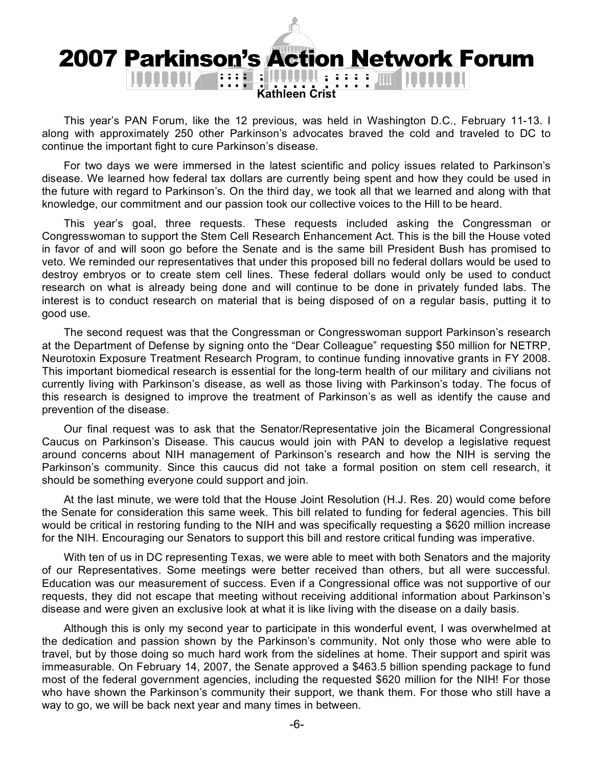# 2007 Parkinson's Action Network Forum

**Kathleen Crist**

This year's PAN Forum, like the 12 previous, was held in Washington D.C., February 11-13. I along with approximately 250 other Parkinson's advocates braved the cold and traveled to DC to continue the important fight to cure Parkinson's disease.

For two days we were immersed in the latest scientific and policy issues related to Parkinson's disease. We learned how federal tax dollars are currently being spent and how they could be used in the future with regard to Parkinson's. On the third day, we took all that we learned and along with that knowledge, our commitment and our passion took our collective voices to the Hill to be heard.

This year's goal, three requests. These requests included asking the Congressman or Congresswoman to support the Stem Cell Research Enhancement Act. This is the bill the House voted in favor of and will soon go before the Senate and is the same bill President Bush has promised to veto. We reminded our representatives that under this proposed bill no federal dollars would be used to destroy embryos or to create stem cell lines. These federal dollars would only be used to conduct research on what is already being done and will continue to be done in privately funded labs. The interest is to conduct research on material that is being disposed of on a regular basis, putting it to good use.

The second request was that the Congressman or Congresswoman support Parkinson's research at the Department of Defense by signing onto the "Dear Colleague" requesting \$50 million for NETRP, Neurotoxin Exposure Treatment Research Program, to continue funding innovative grants in FY 2008. This important biomedical research is essential for the long-term health of our military and civilians not currently living with Parkinson's disease, as well as those living with Parkinson's today. The focus of this research is designed to improve the treatment of Parkinson's as well as identify the cause and prevention of the disease.

Our final request was to ask that the Senator/Representative join the Bicameral Congressional Caucus on Parkinson's Disease. This caucus would join with PAN to develop a legislative request around concerns about NIH management of Parkinson's research and how the NIH is serving the Parkinson's community. Since this caucus did not take a formal position on stem cell research, it should be something everyone could support and join.

At the last minute, we were told that the House Joint Resolution (H.J. Res. 20) would come before the Senate for consideration this same week. This bill related to funding for federal agencies. This bill would be critical in restoring funding to the NIH and was specifically requesting a \$620 million increase for the NIH. Encouraging our Senators to support this bill and restore critical funding was imperative.

With ten of us in DC representing Texas, we were able to meet with both Senators and the majority of our Representatives. Some meetings were better received than others, but all were successful. Education was our measurement of success. Even if a Congressional office was not supportive of our requests, they did not escape that meeting without receiving additional information about Parkinson's disease and were given an exclusive look at what it is like living with the disease on a daily basis.

Although this is only my second year to participate in this wonderful event, I was overwhelmed at the dedication and passion shown by the Parkinson's community. Not only those who were able to travel, but by those doing so much hard work from the sidelines at home. Their support and spirit was immeasurable. On February 14, 2007, the Senate approved a \$463.5 billion spending package to fund most of the federal government agencies, including the requested \$620 million for the NIH! For those who have shown the Parkinson's community their support, we thank them. For those who still have a way to go, we will be back next year and many times in between.